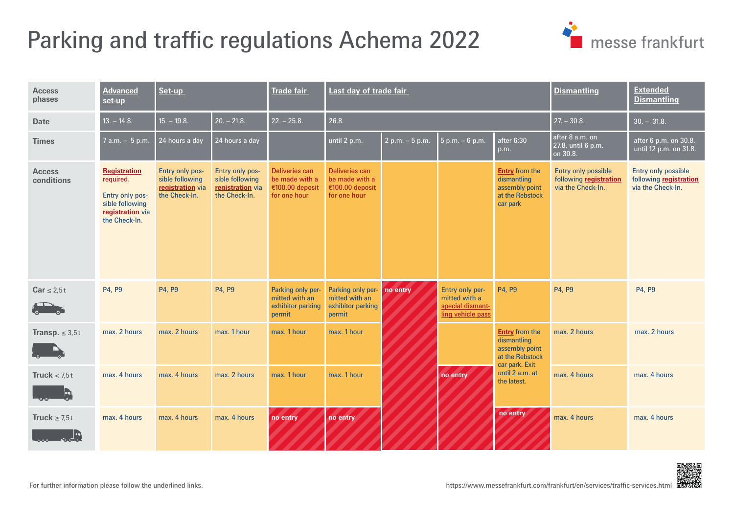# <span id="page-0-0"></span>Parking and traffic regulations Achema 2022



| <b>Access</b><br>phases     | <b>Advanced</b><br>set-up                                                                                   | Set-up                                                                  |                                                                         | <b>Trade fair</b>                                                          | Last day of trade fair                                              |                   |                                                                                  |                                                                                                                               | <b>Dismantling</b>                                                 | <b>Extended</b><br><b>Dismantling</b>                                     |
|-----------------------------|-------------------------------------------------------------------------------------------------------------|-------------------------------------------------------------------------|-------------------------------------------------------------------------|----------------------------------------------------------------------------|---------------------------------------------------------------------|-------------------|----------------------------------------------------------------------------------|-------------------------------------------------------------------------------------------------------------------------------|--------------------------------------------------------------------|---------------------------------------------------------------------------|
| <b>Date</b>                 | $13. - 14.8.$                                                                                               | $15. - 19.8.$                                                           | $20. - 21.8.$                                                           | $22. - 25.8.$                                                              | 26.8.                                                               |                   |                                                                                  |                                                                                                                               | $27 - 30.8$                                                        | $30. - 31.8.$                                                             |
| <b>Times</b>                | $7$ a.m. $-5$ p.m.                                                                                          | 24 hours a day                                                          | 24 hours a day                                                          |                                                                            | until 2 p.m.                                                        | $2 p.m. - 5 p.m.$ | $5 p.m. - 6 p.m.$                                                                | after 6:30<br>p.m.                                                                                                            | after 8 a.m. on<br>27.8. until 6 p.m.<br>on 30.8.                  | after 6 p.m. on 30.8.<br>until 12 p.m. on 31.8.                           |
| <b>Access</b><br>conditions | <b>Registration</b><br>required.<br>Entry only pos-<br>sible following<br>registration via<br>the Check-In. | Entry only pos-<br>sible following<br>registration via<br>the Check-In. | Entry only pos-<br>sible following<br>registration via<br>the Check-In. | <b>Deliveries can</b><br>be made with a<br>€100.00 deposit<br>for one hour | Deliveries can<br>be made with a<br>€100.00 deposit<br>for one hour |                   |                                                                                  | <b>Entry</b> from the<br>dismantling<br>assembly point<br>at the Rebstock<br>car park                                         | Entry only possible<br>following registration<br>via the Check-In. | <b>Entry only possible</b><br>following registration<br>via the Check-In. |
| $Car \leq 2.5t$             | P4, P9                                                                                                      | P4, P9                                                                  | P4, P9                                                                  | Parking only per<br>mitted with an<br>exhibitor parking<br>permit          | Parking only per-<br>mitted with an<br>exhibitor parking<br>permit  | no entry          | <b>Entry only per-</b><br>mitted with a<br>special dismant-<br>ling vehicle pass | P4. P9                                                                                                                        | P4, P9                                                             | P4, P9                                                                    |
| <b>Transp.</b> $\leq 3.5t$  | max. 2 hours                                                                                                | max. 2 hours                                                            | max. 1 hour                                                             | max. 1 hour                                                                | max. 1 hour                                                         |                   | no entry                                                                         | <b>Entry from the</b><br>dismantling<br>assembly point<br>at the Rebstock<br>car park. Exit<br>until 2 a.m. at<br>the latest. | max. 2 hours                                                       | max. 2 hours                                                              |
| Truck $< 7.5t$<br>Ŀ,        | max. 4 hours                                                                                                | max. 4 hours                                                            | max. 2 hours                                                            | max. 1 hour                                                                | max. 1 hour                                                         |                   |                                                                                  |                                                                                                                               | max. 4 hours                                                       | max. 4 hours                                                              |
| Truck $\geq 7.5t$           | max. 4 hours                                                                                                | max. 4 hours                                                            | max. 4 hours                                                            | no entry                                                                   | no entry                                                            |                   |                                                                                  | no entry                                                                                                                      | max. 4 hours                                                       | max. 4 hours                                                              |